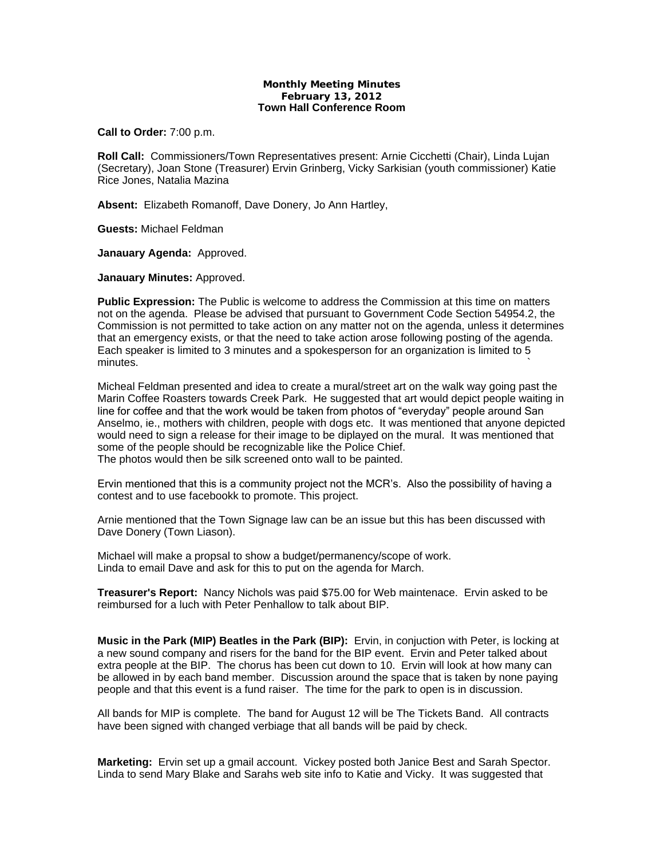## **Monthly Meeting Minutes February 13, 2012 Town Hall Conference Room**

**Call to Order:** 7:00 p.m.

**Roll Call:** Commissioners/Town Representatives present: Arnie Cicchetti (Chair), Linda Lujan (Secretary), Joan Stone (Treasurer) Ervin Grinberg, Vicky Sarkisian (youth commissioner) Katie Rice Jones, Natalia Mazina

**Absent:** Elizabeth Romanoff, Dave Donery, Jo Ann Hartley,

**Guests:** Michael Feldman

**Janauary Agenda:** Approved.

**Janauary Minutes:** Approved.

**Public Expression:** The Public is welcome to address the Commission at this time on matters not on the agenda. Please be advised that pursuant to Government Code Section 54954.2, the Commission is not permitted to take action on any matter not on the agenda, unless it determines that an emergency exists, or that the need to take action arose following posting of the agenda. Each speaker is limited to 3 minutes and a spokesperson for an organization is limited to 5 minutes.  $\sim$ 

Micheal Feldman presented and idea to create a mural/street art on the walk way going past the Marin Coffee Roasters towards Creek Park. He suggested that art would depict people waiting in line for coffee and that the work would be taken from photos of "everyday" people around San Anselmo, ie., mothers with children, people with dogs etc. It was mentioned that anyone depicted would need to sign a release for their image to be diplayed on the mural. It was mentioned that some of the people should be recognizable like the Police Chief. The photos would then be silk screened onto wall to be painted.

Ervin mentioned that this is a community project not the MCR's. Also the possibility of having a contest and to use facebookk to promote. This project.

Arnie mentioned that the Town Signage law can be an issue but this has been discussed with Dave Donery (Town Liason).

Michael will make a propsal to show a budget/permanency/scope of work. Linda to email Dave and ask for this to put on the agenda for March.

**Treasurer's Report:** Nancy Nichols was paid \$75.00 for Web maintenace. Ervin asked to be reimbursed for a luch with Peter Penhallow to talk about BIP.

**Music in the Park (MIP) Beatles in the Park (BIP):** Ervin, in conjuction with Peter, is locking at a new sound company and risers for the band for the BIP event. Ervin and Peter talked about extra people at the BIP. The chorus has been cut down to 10. Ervin will look at how many can be allowed in by each band member. Discussion around the space that is taken by none paying people and that this event is a fund raiser. The time for the park to open is in discussion.

All bands for MIP is complete. The band for August 12 will be The Tickets Band. All contracts have been signed with changed verbiage that all bands will be paid by check.

**Marketing:** Ervin set up a gmail account. Vickey posted both Janice Best and Sarah Spector. Linda to send Mary Blake and Sarahs web site info to Katie and Vicky. It was suggested that